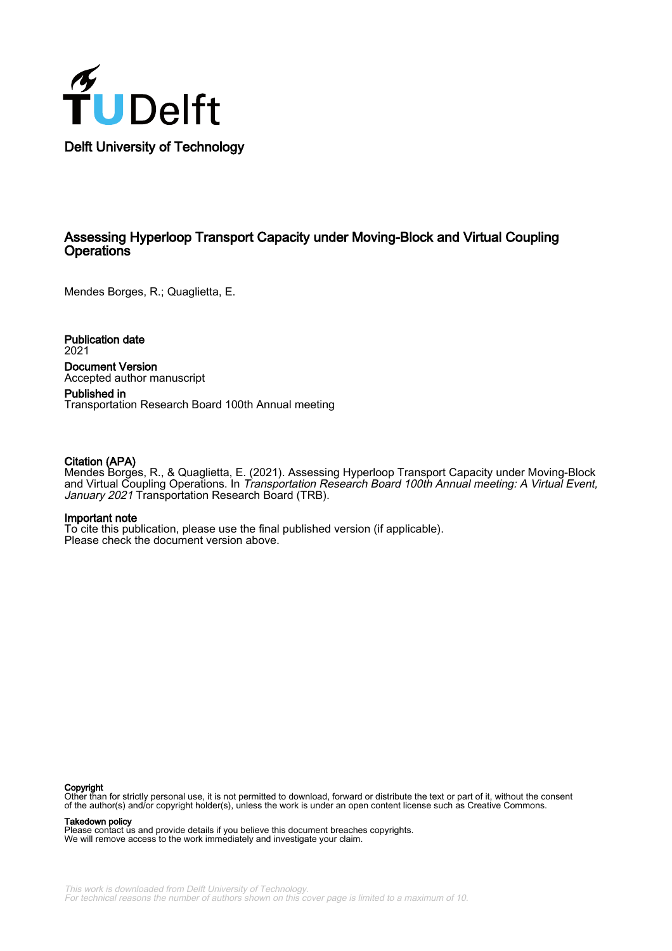

#### Assessing Hyperloop Transport Capacity under Moving-Block and Virtual Coupling **Operations**

Mendes Borges, R.; Quaglietta, E.

Publication date 2021

Document Version Accepted author manuscript

Published in Transportation Research Board 100th Annual meeting

#### Citation (APA)

Mendes Borges, R., & Quaglietta, E. (2021). Assessing Hyperloop Transport Capacity under Moving-Block and Virtual Coupling Operations. In Transportation Research Board 100th Annual meeting: A Virtual Event, January 2021 Transportation Research Board (TRB).

#### Important note

To cite this publication, please use the final published version (if applicable). Please check the document version above.

#### Copyright

Other than for strictly personal use, it is not permitted to download, forward or distribute the text or part of it, without the consent of the author(s) and/or copyright holder(s), unless the work is under an open content license such as Creative Commons.

#### Takedown policy

Please contact us and provide details if you believe this document breaches copyrights. We will remove access to the work immediately and investigate your claim.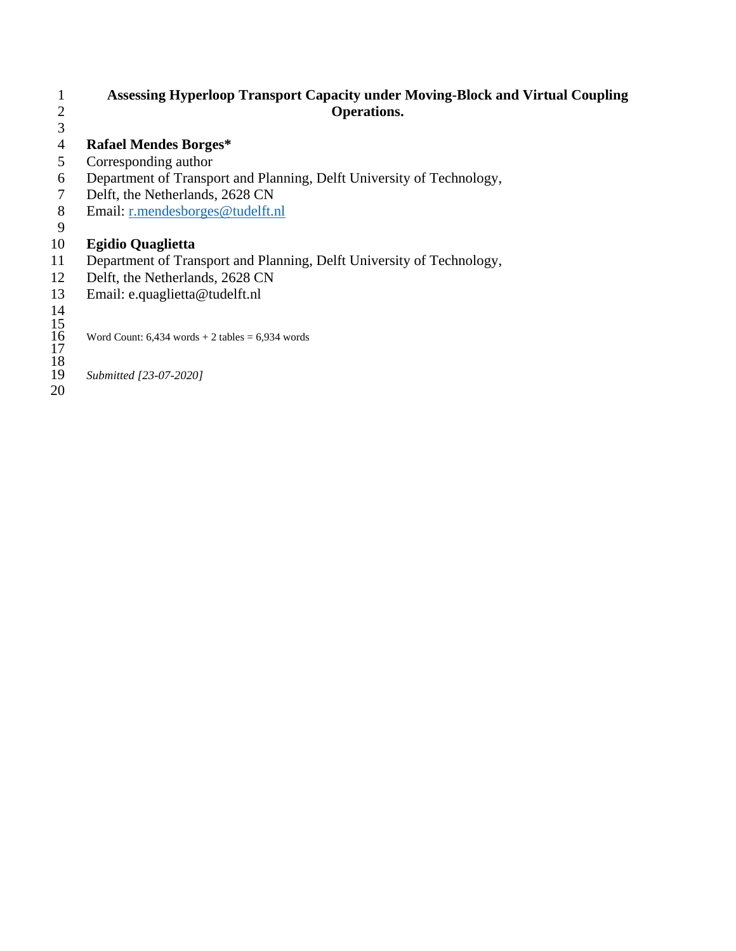#### **Assessing Hyperloop Transport Capacity under Moving-Block and Virtual Coupling Operations.**

# **Rafael Mendes Borges\***

- Corresponding author
- Department of Transport and Planning, Delft University of Technology,
- Delft, the Netherlands, 2628 CN
- Email: [r.mendesborges@tudelft.nl](mailto:r.mendesborges@tudelft.nl)
- 

# **Egidio Quaglietta**

- Department of Transport and Planning, Delft University of Technology,
- Delft, the Netherlands, 2628 CN
- Email: e.quaglietta@tudelft.nl

- Word Count:  $6,434$  words + 2 tables =  $6,934$  words
- - *Submitted [23-07-2020]*
-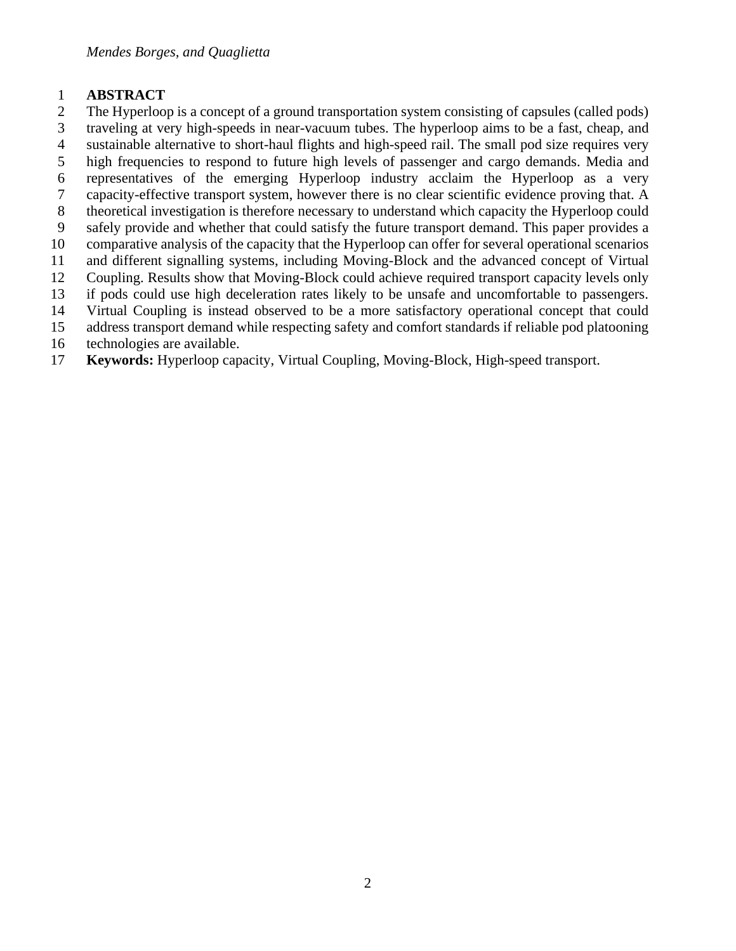#### **ABSTRACT**

- The Hyperloop is a concept of a ground transportation system consisting of capsules (called pods) traveling at very high-speeds in near-vacuum tubes. The hyperloop aims to be a fast, cheap, and
- sustainable alternative to short-haul flights and high-speed rail. The small pod size requires very
- high frequencies to respond to future high levels of passenger and cargo demands. Media and
- representatives of the emerging Hyperloop industry acclaim the Hyperloop as a very
- capacity-effective transport system, however there is no clear scientific evidence proving that. A
- theoretical investigation is therefore necessary to understand which capacity the Hyperloop could
- safely provide and whether that could satisfy the future transport demand. This paper provides a
- comparative analysis of the capacity that the Hyperloop can offer for several operational scenarios
- and different signalling systems, including Moving-Block and the advanced concept of Virtual
- Coupling. Results show that Moving-Block could achieve required transport capacity levels only
- if pods could use high deceleration rates likely to be unsafe and uncomfortable to passengers.
- Virtual Coupling is instead observed to be a more satisfactory operational concept that could address transport demand while respecting safety and comfort standards if reliable pod platooning
- technologies are available.
- **Keywords:** Hyperloop capacity, Virtual Coupling, Moving-Block, High-speed transport.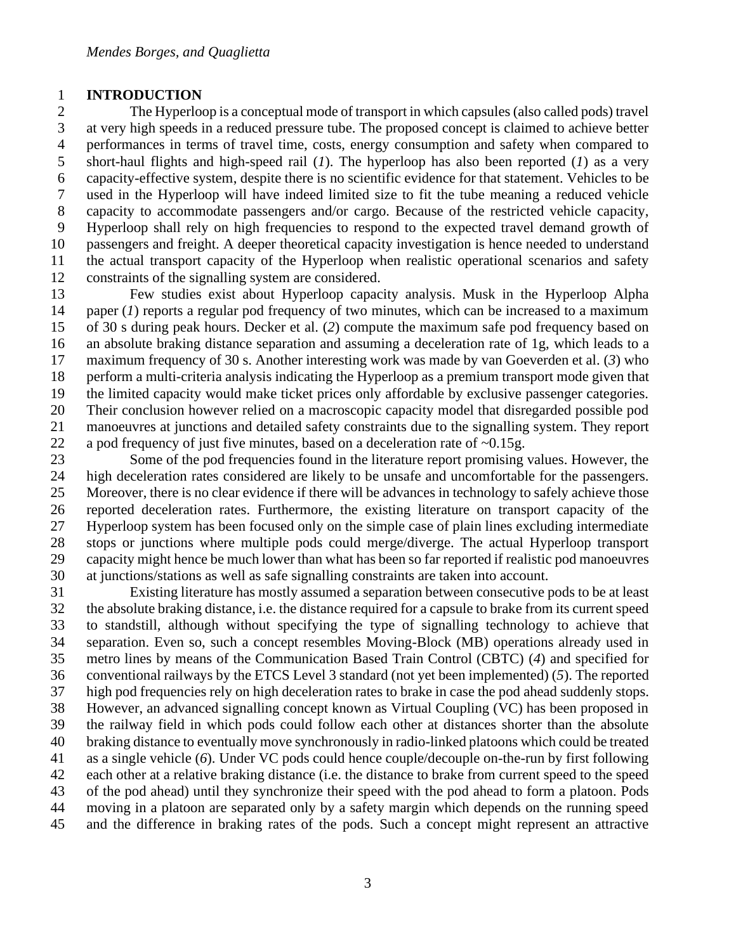#### **INTRODUCTION**

 The Hyperloop is a conceptual mode of transport in which capsules (also called pods) travel at very high speeds in a reduced pressure tube. The proposed concept is claimed to achieve better performances in terms of travel time, costs, energy consumption and safety when compared to short-haul flights and high-speed rail (*1*). The hyperloop has also been reported (*1*) as a very capacity-effective system, despite there is no scientific evidence for that statement. Vehicles to be used in the Hyperloop will have indeed limited size to fit the tube meaning a reduced vehicle capacity to accommodate passengers and/or cargo. Because of the restricted vehicle capacity, Hyperloop shall rely on high frequencies to respond to the expected travel demand growth of passengers and freight. A deeper theoretical capacity investigation is hence needed to understand the actual transport capacity of the Hyperloop when realistic operational scenarios and safety constraints of the signalling system are considered.

 Few studies exist about Hyperloop capacity analysis. Musk in the Hyperloop Alpha paper (*1*) reports a regular pod frequency of two minutes, which can be increased to a maximum of 30 s during peak hours. Decker et al. (*2*) compute the maximum safe pod frequency based on an absolute braking distance separation and assuming a deceleration rate of 1g, which leads to a maximum frequency of 30 s. Another interesting work was made by van Goeverden et al. (*3*) who perform a multi-criteria analysis indicating the Hyperloop as a premium transport mode given that the limited capacity would make ticket prices only affordable by exclusive passenger categories. Their conclusion however relied on a macroscopic capacity model that disregarded possible pod manoeuvres at junctions and detailed safety constraints due to the signalling system. They report 22 a pod frequency of just five minutes, based on a deceleration rate of  $\sim 0.15$ g.

 Some of the pod frequencies found in the literature report promising values. However, the high deceleration rates considered are likely to be unsafe and uncomfortable for the passengers. Moreover, there is no clear evidence if there will be advances in technology to safely achieve those reported deceleration rates. Furthermore, the existing literature on transport capacity of the Hyperloop system has been focused only on the simple case of plain lines excluding intermediate stops or junctions where multiple pods could merge/diverge. The actual Hyperloop transport capacity might hence be much lower than what has been so far reported if realistic pod manoeuvres at junctions/stations as well as safe signalling constraints are taken into account.

 Existing literature has mostly assumed a separation between consecutive pods to be at least the absolute braking distance, i.e. the distance required for a capsule to brake from its current speed to standstill, although without specifying the type of signalling technology to achieve that separation. Even so, such a concept resembles Moving-Block (MB) operations already used in metro lines by means of the Communication Based Train Control (CBTC) (*4*) and specified for conventional railways by the ETCS Level 3 standard (not yet been implemented) (*5*). The reported high pod frequencies rely on high deceleration rates to brake in case the pod ahead suddenly stops. However, an advanced signalling concept known as Virtual Coupling (VC) has been proposed in the railway field in which pods could follow each other at distances shorter than the absolute braking distance to eventually move synchronously in radio-linked platoons which could be treated as a single vehicle (*6*). Under VC pods could hence couple/decouple on-the-run by first following each other at a relative braking distance (i.e. the distance to brake from current speed to the speed of the pod ahead) until they synchronize their speed with the pod ahead to form a platoon. Pods moving in a platoon are separated only by a safety margin which depends on the running speed and the difference in braking rates of the pods. Such a concept might represent an attractive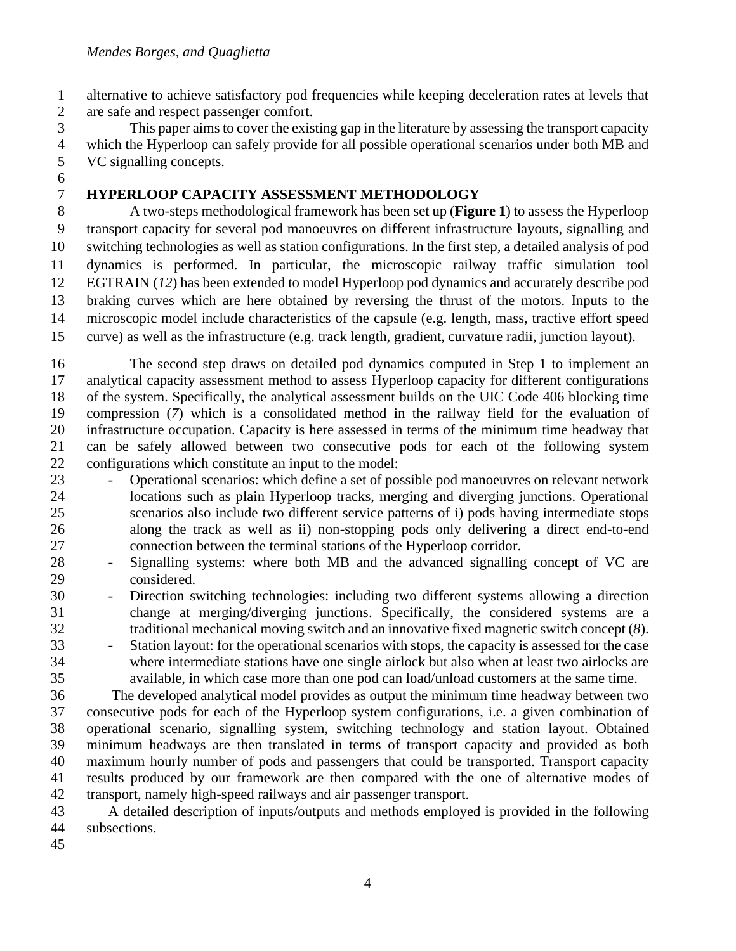alternative to achieve satisfactory pod frequencies while keeping deceleration rates at levels that are safe and respect passenger comfort.

 This paper aims to cover the existing gap in the literature by assessing the transport capacity which the Hyperloop can safely provide for all possible operational scenarios under both MB and VC signalling concepts. 

**HYPERLOOP CAPACITY ASSESSMENT METHODOLOGY**

 A two-steps methodological framework has been set up (**[Figure 1](#page-5-0)**) to assess the Hyperloop transport capacity for several pod manoeuvres on different infrastructure layouts, signalling and switching technologies as well as station configurations. In the first step, a detailed analysis of pod dynamics is performed. In particular, the microscopic railway traffic simulation tool EGTRAIN (*12*) has been extended to model Hyperloop pod dynamics and accurately describe pod braking curves which are here obtained by reversing the thrust of the motors. Inputs to the microscopic model include characteristics of the capsule (e.g. length, mass, tractive effort speed curve) as well as the infrastructure (e.g. track length, gradient, curvature radii, junction layout).

 The second step draws on detailed pod dynamics computed in Step 1 to implement an analytical capacity assessment method to assess Hyperloop capacity for different configurations of the system. Specifically, the analytical assessment builds on the UIC Code 406 blocking time compression (*7*) which is a consolidated method in the railway field for the evaluation of infrastructure occupation. Capacity is here assessed in terms of the minimum time headway that can be safely allowed between two consecutive pods for each of the following system configurations which constitute an input to the model:

- Operational scenarios: which define a set of possible pod manoeuvres on relevant network locations such as plain Hyperloop tracks, merging and diverging junctions. Operational scenarios also include two different service patterns of i) pods having intermediate stops along the track as well as ii) non-stopping pods only delivering a direct end-to-end connection between the terminal stations of the Hyperloop corridor.
- Signalling systems: where both MB and the advanced signalling concept of VC are considered.
- Direction switching technologies: including two different systems allowing a direction change at merging/diverging junctions. Specifically, the considered systems are a traditional mechanical moving switch and an innovative fixed magnetic switch concept (*8*).
- Station layout: for the operational scenarios with stops, the capacity is assessed for the case where intermediate stations have one single airlock but also when at least two airlocks are available, in which case more than one pod can load/unload customers at the same time.

 The developed analytical model provides as output the minimum time headway between two consecutive pods for each of the Hyperloop system configurations, i.e. a given combination of operational scenario, signalling system, switching technology and station layout. Obtained minimum headways are then translated in terms of transport capacity and provided as both maximum hourly number of pods and passengers that could be transported. Transport capacity results produced by our framework are then compared with the one of alternative modes of transport, namely high-speed railways and air passenger transport.

 A detailed description of inputs/outputs and methods employed is provided in the following subsections.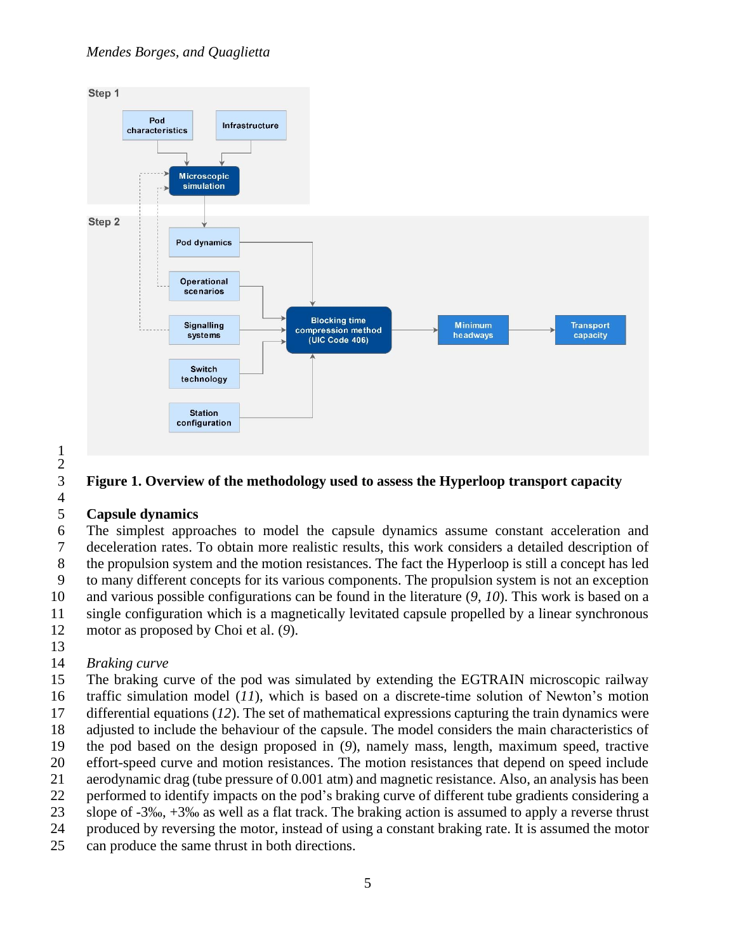#### *Mendes Borges, and Quaglietta*



 

# <span id="page-5-0"></span>**Figure 1. Overview of the methodology used to assess the Hyperloop transport capacity**

#### **Capsule dynamics**

 The simplest approaches to model the capsule dynamics assume constant acceleration and deceleration rates. To obtain more realistic results, this work considers a detailed description of the propulsion system and the motion resistances. The fact the Hyperloop is still a concept has led to many different concepts for its various components. The propulsion system is not an exception and various possible configurations can be found in the literature (*9*, *10*). This work is based on a single configuration which is a magnetically levitated capsule propelled by a linear synchronous motor as proposed by Choi et al. (*9*).

# *Braking curve*

 The braking curve of the pod was simulated by extending the EGTRAIN microscopic railway traffic simulation model (*11*), which is based on a discrete-time solution of Newton's motion differential equations (*12*). The set of mathematical expressions capturing the train dynamics were adjusted to include the behaviour of the capsule. The model considers the main characteristics of the pod based on the design proposed in (*9*), namely mass, length, maximum speed, tractive effort-speed curve and motion resistances. The motion resistances that depend on speed include aerodynamic drag (tube pressure of 0.001 atm) and magnetic resistance. Also, an analysis has been performed to identify impacts on the pod's braking curve of different tube gradients considering a slope of -3‰, +3‰ as well as a flat track. The braking action is assumed to apply a reverse thrust produced by reversing the motor, instead of using a constant braking rate. It is assumed the motor

can produce the same thrust in both directions.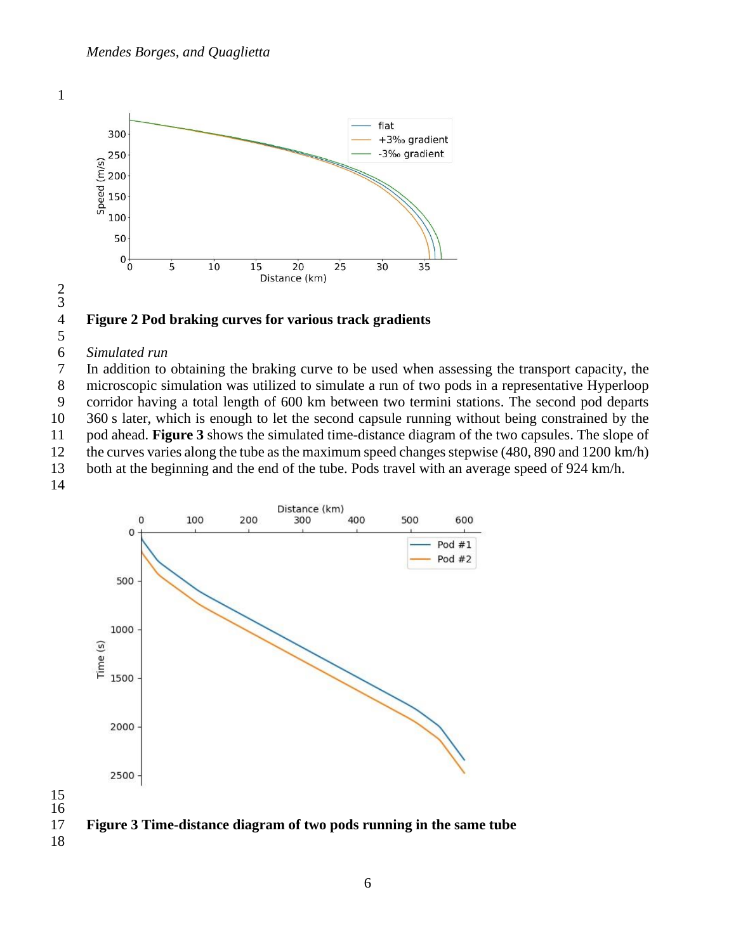

<span id="page-6-1"></span>

#### 

#### *Simulated run*

 In addition to obtaining the braking curve to be used when assessing the transport capacity, the microscopic simulation was utilized to simulate a run of two pods in a representative Hyperloop corridor having a total length of 600 km between two termini stations. The second pod departs 360 s later, which is enough to let the second capsule running without being constrained by the pod ahead. **[Figure 3](#page-6-0)** shows the simulated time-distance diagram of the two capsules. The slope of the curves varies along the tube as the maximum speed changes stepwise (480, 890 and 1200 km/h) both at the beginning and the end of the tube. Pods travel with an average speed of 924 km/h.



<span id="page-6-0"></span>**Figure 3 Time-distance diagram of two pods running in the same tube**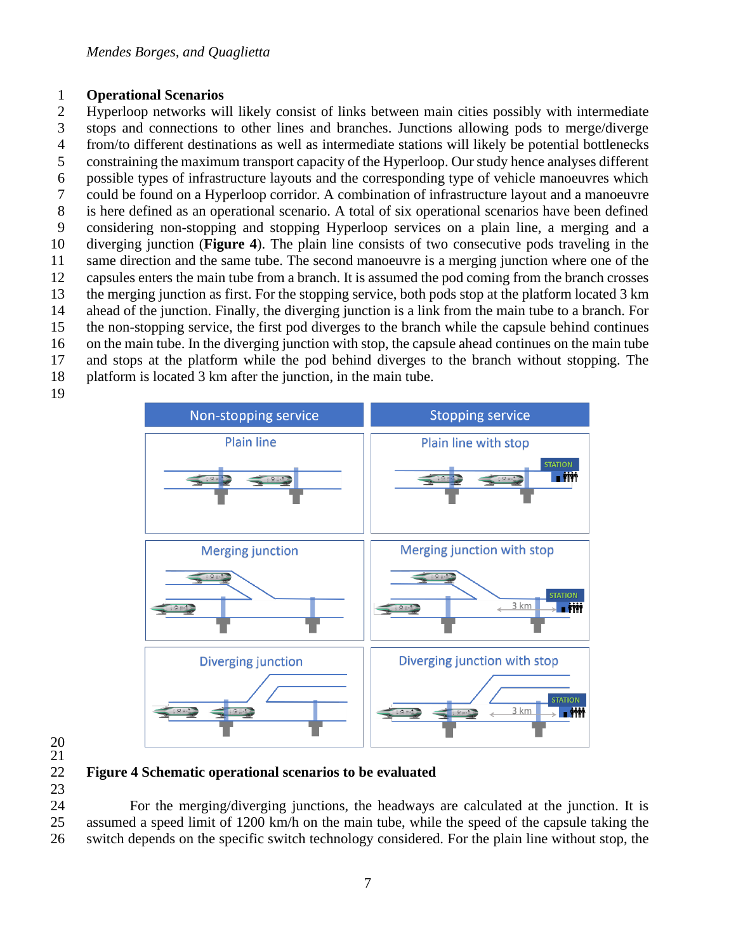#### **Operational Scenarios**

 Hyperloop networks will likely consist of links between main cities possibly with intermediate stops and connections to other lines and branches. Junctions allowing pods to merge/diverge from/to different destinations as well as intermediate stations will likely be potential bottlenecks constraining the maximum transport capacity of the Hyperloop. Our study hence analyses different possible types of infrastructure layouts and the corresponding type of vehicle manoeuvres which could be found on a Hyperloop corridor. A combination of infrastructure layout and a manoeuvre is here defined as an operational scenario. A total of six operational scenarios have been defined considering non-stopping and stopping Hyperloop services on a plain line, a merging and a diverging junction (**[Figure 4](#page-7-0)**). The plain line consists of two consecutive pods traveling in the same direction and the same tube. The second manoeuvre is a merging junction where one of the capsules enters the main tube from a branch. It is assumed the pod coming from the branch crosses the merging junction as first. For the stopping service, both pods stop at the platform located 3 km ahead of the junction. Finally, the diverging junction is a link from the main tube to a branch. For the non-stopping service, the first pod diverges to the branch while the capsule behind continues on the main tube. In the diverging junction with stop, the capsule ahead continues on the main tube and stops at the platform while the pod behind diverges to the branch without stopping. The platform is located 3 km after the junction, in the main tube.



 

#### <span id="page-7-0"></span> **Figure 4 Schematic operational scenarios to be evaluated**

 For the merging/diverging junctions, the headways are calculated at the junction. It is assumed a speed limit of 1200 km/h on the main tube, while the speed of the capsule taking the switch depends on the specific switch technology considered. For the plain line without stop, the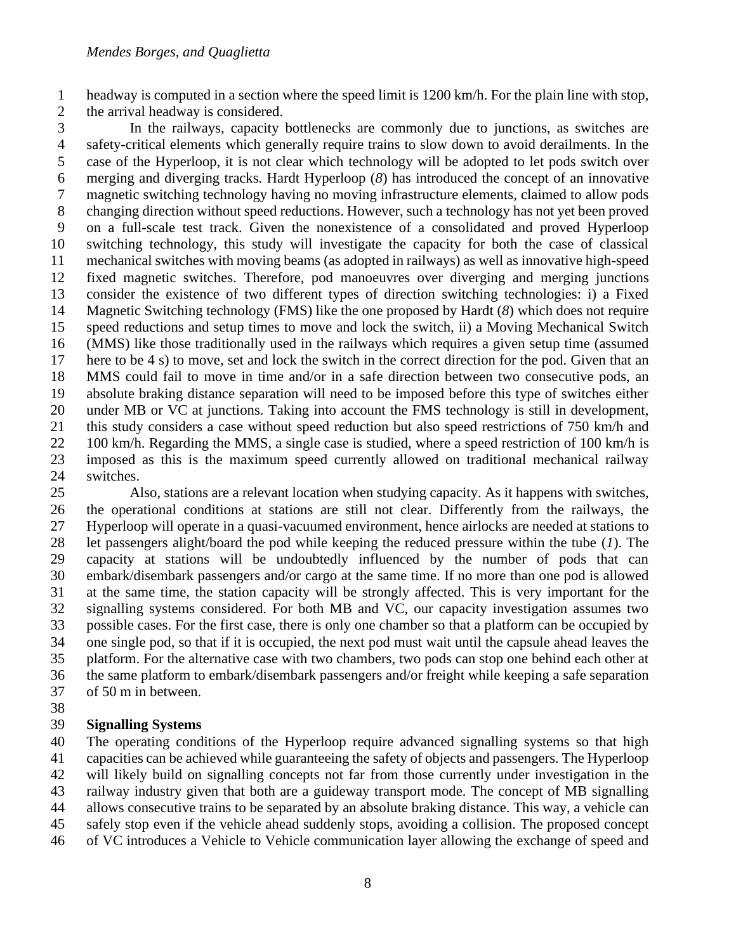headway is computed in a section where the speed limit is 1200 km/h. For the plain line with stop, the arrival headway is considered.

 In the railways, capacity bottlenecks are commonly due to junctions, as switches are safety-critical elements which generally require trains to slow down to avoid derailments. In the case of the Hyperloop, it is not clear which technology will be adopted to let pods switch over merging and diverging tracks. Hardt Hyperloop (*8*) has introduced the concept of an innovative magnetic switching technology having no moving infrastructure elements, claimed to allow pods changing direction without speed reductions. However, such a technology has not yet been proved on a full-scale test track. Given the nonexistence of a consolidated and proved Hyperloop switching technology, this study will investigate the capacity for both the case of classical mechanical switches with moving beams (as adopted in railways) as well as innovative high-speed fixed magnetic switches. Therefore, pod manoeuvres over diverging and merging junctions consider the existence of two different types of direction switching technologies: i) a Fixed Magnetic Switching technology (FMS) like the one proposed by Hardt (*8*) which does not require speed reductions and setup times to move and lock the switch, ii) a Moving Mechanical Switch (MMS) like those traditionally used in the railways which requires a given setup time (assumed here to be 4 s) to move, set and lock the switch in the correct direction for the pod. Given that an MMS could fail to move in time and/or in a safe direction between two consecutive pods, an absolute braking distance separation will need to be imposed before this type of switches either under MB or VC at junctions. Taking into account the FMS technology is still in development, this study considers a case without speed reduction but also speed restrictions of 750 km/h and 22 100 km/h. Regarding the MMS, a single case is studied, where a speed restriction of 100 km/h is imposed as this is the maximum speed currently allowed on traditional mechanical railway switches.

 Also, stations are a relevant location when studying capacity. As it happens with switches, the operational conditions at stations are still not clear. Differently from the railways, the Hyperloop will operate in a quasi-vacuumed environment, hence airlocks are needed at stations to let passengers alight/board the pod while keeping the reduced pressure within the tube (*1*). The capacity at stations will be undoubtedly influenced by the number of pods that can embark/disembark passengers and/or cargo at the same time. If no more than one pod is allowed at the same time, the station capacity will be strongly affected. This is very important for the signalling systems considered. For both MB and VC, our capacity investigation assumes two possible cases. For the first case, there is only one chamber so that a platform can be occupied by one single pod, so that if it is occupied, the next pod must wait until the capsule ahead leaves the platform. For the alternative case with two chambers, two pods can stop one behind each other at the same platform to embark/disembark passengers and/or freight while keeping a safe separation of 50 m in between.

#### **Signalling Systems**

 The operating conditions of the Hyperloop require advanced signalling systems so that high capacities can be achieved while guaranteeing the safety of objects and passengers. The Hyperloop will likely build on signalling concepts not far from those currently under investigation in the railway industry given that both are a guideway transport mode. The concept of MB signalling allows consecutive trains to be separated by an absolute braking distance. This way, a vehicle can safely stop even if the vehicle ahead suddenly stops, avoiding a collision. The proposed concept of VC introduces a Vehicle to Vehicle communication layer allowing the exchange of speed and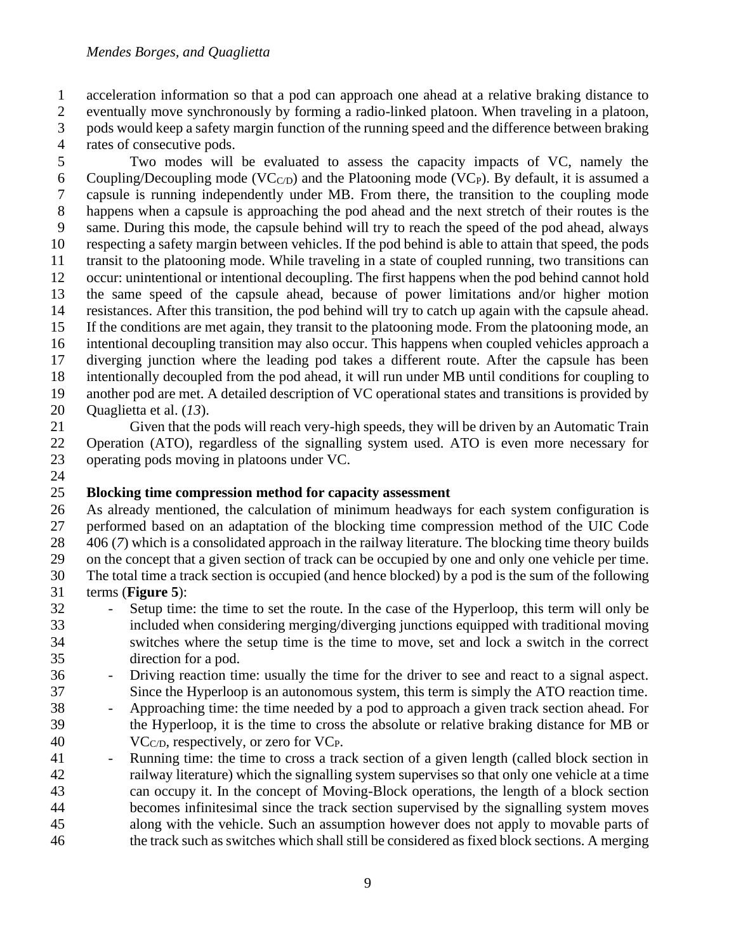acceleration information so that a pod can approach one ahead at a relative braking distance to eventually move synchronously by forming a radio-linked platoon. When traveling in a platoon, pods would keep a safety margin function of the running speed and the difference between braking rates of consecutive pods.

 Two modes will be evaluated to assess the capacity impacts of VC, namely the 6 Coupling/Decoupling mode (VC $_{\text{C/D}}$ ) and the Platooning mode (VC<sub>P</sub>). By default, it is assumed a capsule is running independently under MB. From there, the transition to the coupling mode happens when a capsule is approaching the pod ahead and the next stretch of their routes is the same. During this mode, the capsule behind will try to reach the speed of the pod ahead, always respecting a safety margin between vehicles. If the pod behind is able to attain that speed, the pods transit to the platooning mode. While traveling in a state of coupled running, two transitions can occur: unintentional or intentional decoupling. The first happens when the pod behind cannot hold the same speed of the capsule ahead, because of power limitations and/or higher motion resistances. After this transition, the pod behind will try to catch up again with the capsule ahead. If the conditions are met again, they transit to the platooning mode. From the platooning mode, an intentional decoupling transition may also occur. This happens when coupled vehicles approach a diverging junction where the leading pod takes a different route. After the capsule has been intentionally decoupled from the pod ahead, it will run under MB until conditions for coupling to another pod are met. A detailed description of VC operational states and transitions is provided by Quaglietta et al. (*13*).

- Given that the pods will reach very-high speeds, they will be driven by an Automatic Train Operation (ATO), regardless of the signalling system used. ATO is even more necessary for operating pods moving in platoons under VC.
- 

# **Blocking time compression method for capacity assessment**

 As already mentioned, the calculation of minimum headways for each system configuration is performed based on an adaptation of the blocking time compression method of the UIC Code 406 (*7*) which is a consolidated approach in the railway literature. The blocking time theory builds on the concept that a given section of track can be occupied by one and only one vehicle per time. The total time a track section is occupied (and hence blocked) by a pod is the sum of the following terms (**[Figure 5](#page-10-0)**):

- Setup time: the time to set the route. In the case of the Hyperloop, this term will only be included when considering merging/diverging junctions equipped with traditional moving switches where the setup time is the time to move, set and lock a switch in the correct direction for a pod.
- Driving reaction time: usually the time for the driver to see and react to a signal aspect. Since the Hyperloop is an autonomous system, this term is simply the ATO reaction time.
- Approaching time: the time needed by a pod to approach a given track section ahead. For the Hyperloop, it is the time to cross the absolute or relative braking distance for MB or
- 40  $VC<sub>CD</sub>$ , respectively, or zero for  $VC<sub>P</sub>$ .
- 41 Running time: the time to cross a track section of a given length (called block section in railway literature) which the signalling system supervises so that only one vehicle at a time can occupy it. In the concept of Moving-Block operations, the length of a block section becomes infinitesimal since the track section supervised by the signalling system moves along with the vehicle. Such an assumption however does not apply to movable parts of the track such as switches which shall still be considered as fixed block sections. A merging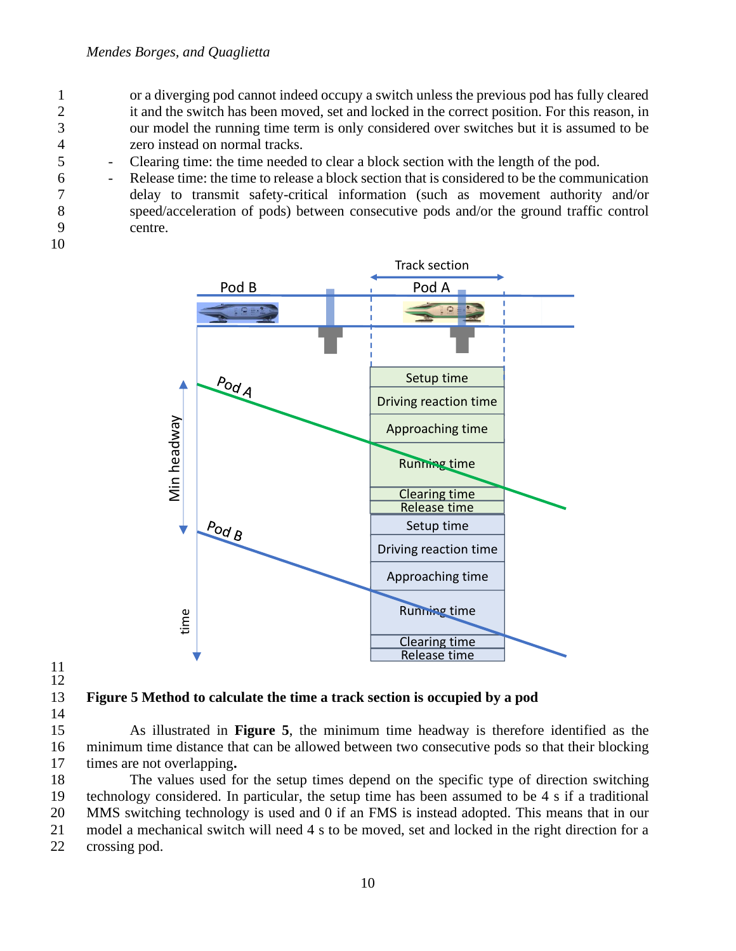- 1 or a diverging pod cannot indeed occupy a switch unless the previous pod has fully cleared 2 it and the switch has been moved, set and locked in the correct position. For this reason, in 3 our model the running time term is only considered over switches but it is assumed to be 4 zero instead on normal tracks.
- 5 Clearing time: the time needed to clear a block section with the length of the pod.
- 6 Release time: the time to release a block section that is considered to be the communication 7 delay to transmit safety-critical information (such as movement authority and/or 8 speed/acceleration of pods) between consecutive pods and/or the ground traffic control 9 centre.
- 10



11 12

<span id="page-10-0"></span>13 **Figure 5 Method to calculate the time a track section is occupied by a pod**

14

15 As illustrated in **[Figure 5](#page-10-0)**, the minimum time headway is therefore identified as the 16 minimum time distance that can be allowed between two consecutive pods so that their blocking 17 times are not overlapping**.** 

 The values used for the setup times depend on the specific type of direction switching technology considered. In particular, the setup time has been assumed to be 4 s if a traditional MMS switching technology is used and 0 if an FMS is instead adopted. This means that in our model a mechanical switch will need 4 s to be moved, set and locked in the right direction for a crossing pod.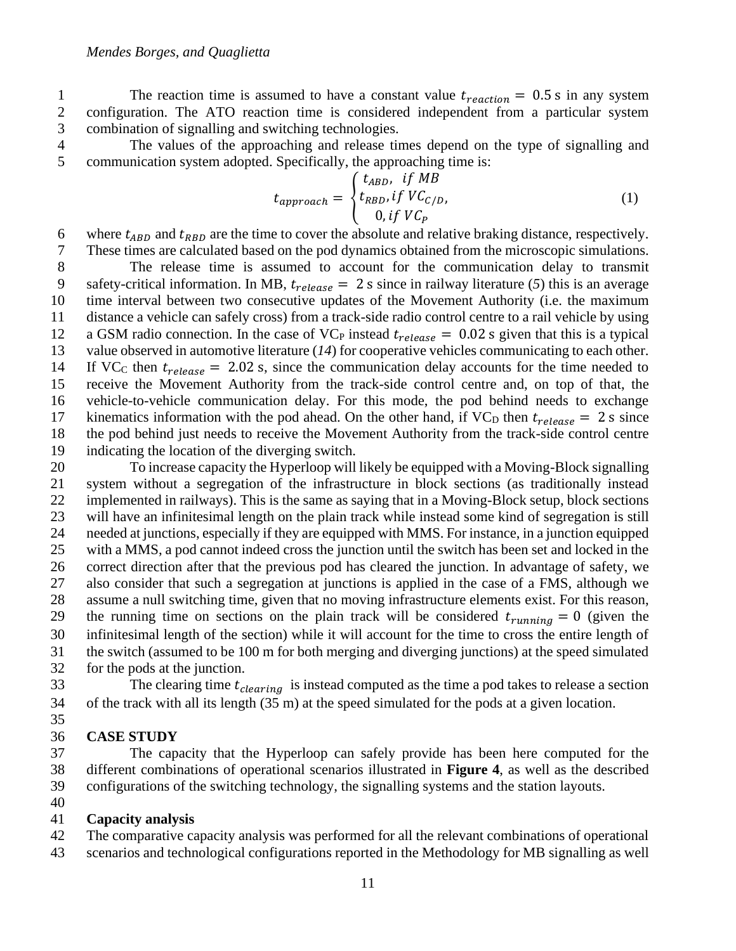The reaction time is assumed to have a constant value  $t_{reaction} = 0.5$  s in any system<br>2 configuration. The ATO reaction time is considered independent from a particular system configuration. The ATO reaction time is considered independent from a particular system combination of signalling and switching technologies.

 The values of the approaching and release times depend on the type of signalling and communication system adopted. Specifically, the approaching time is:

$$
t_{approach} = \begin{cases} t_{ABD}, & \text{if } MB \\ t_{RBD}, & \text{if } VC_{C/D}, \\ 0, & \text{if } VC_P \end{cases}
$$
 (1)

6 where  $t_{ABD}$  and  $t_{RBD}$  are the time to cover the absolute and relative braking distance, respectively.<br>7 These times are calculated based on the pod dynamics obtained from the microscopic simulations. These times are calculated based on the pod dynamics obtained from the microscopic simulations.

 The release time is assumed to account for the communication delay to transmit safety-critical information. In MB,  $t_{release} = 2$  s since in railway literature (5) this is an average time interval between two consecutive updates of the Movement Authority (i.e. the maximum time interval between two consecutive updates of the Movement Authority (i.e. the maximum distance a vehicle can safely cross) from a track-side radio control centre to a rail vehicle by using a GSM radio connection. In the case of VC<sub>P</sub> instead  $t_{release} = 0.02$  s given that this is a typical value observed in automotive literature (14) for cooperative vehicles communicating to each other. value observed in automotive literature  $(14)$  for cooperative vehicles communicating to each other. 14 If VC<sub>C</sub> then  $t_{release} = 2.02$  s, since the communication delay accounts for the time needed to receive the Movement Authority from the track-side control centre and, on top of that, the vehicle-to-vehicle communication delay. For this mode, the pod behind needs to exchange 17 kinematics information with the pod ahead. On the other hand, if  $VC_D$  then  $t_{release} = 2$  s since the pod behind just needs to receive the Movement Authority from the track-side control centre the pod behind just needs to receive the Movement Authority from the track-side control centre indicating the location of the diverging switch.

 To increase capacity the Hyperloop will likely be equipped with a Moving-Block signalling system without a segregation of the infrastructure in block sections (as traditionally instead implemented in railways). This is the same as saying that in a Moving-Block setup, block sections will have an infinitesimal length on the plain track while instead some kind of segregation is still needed at junctions, especially if they are equipped with MMS. For instance, in a junction equipped with a MMS, a pod cannot indeed cross the junction until the switch has been set and locked in the correct direction after that the previous pod has cleared the junction. In advantage of safety, we also consider that such a segregation at junctions is applied in the case of a FMS, although we assume a null switching time, given that no moving infrastructure elements exist. For this reason, 29 the running time on sections on the plain track will be considered  $t_{running} = 0$  (given the infinitesimal length of the section) while it will account for the time to cross the entire length of the switch (assumed to be 100 m for both merging and diverging junctions) at the speed simulated for the pods at the junction.

The clearing time  $t_{clearing}$  is instead computed as the time a pod takes to release a section of the track with all its length (35 m) at the speed simulated for the pods at a given location.

#### **CASE STUDY**

 The capacity that the Hyperloop can safely provide has been here computed for the different combinations of operational scenarios illustrated in **[Figure 4](#page-7-0)**, as well as the described configurations of the switching technology, the signalling systems and the station layouts.

#### **Capacity analysis**

 The comparative capacity analysis was performed for all the relevant combinations of operational scenarios and technological configurations reported in the Methodology for MB signalling as well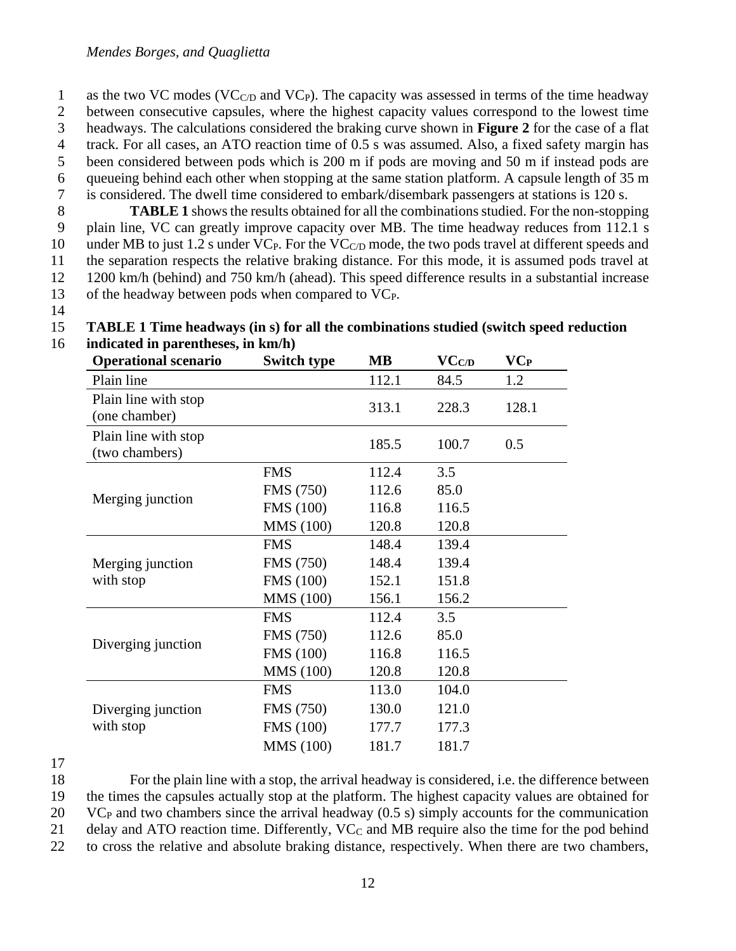1 as the two VC modes (VC $_{\text{C/D}}$  and VC<sub>P</sub>). The capacity was assessed in terms of the time headway between consecutive capsules, where the highest capacity values correspond to the lowest time headways. The calculations considered the braking curve shown in **[Figure 2](#page-6-1)** for the case of a flat track. For all cases, an ATO reaction time of 0.5 s was assumed. Also, a fixed safety margin has been considered between pods which is 200 m if pods are moving and 50 m if instead pods are queueing behind each other when stopping at the same station platform. A capsule length of 35 m is considered. The dwell time considered to embark/disembark passengers at stations is 120 s.

 **[TABLE 1](#page-12-0)** shows the results obtained for all the combinations studied. For the non-stopping plain line, VC can greatly improve capacity over MB. The time headway reduces from 112.1 s 10 under MB to just 1.2 s under  $VC<sub>P</sub>$ . For the  $VC<sub>CD</sub>$  mode, the two pods travel at different speeds and the separation respects the relative braking distance. For this mode, it is assumed pods travel at 1200 km/h (behind) and 750 km/h (ahead). This speed difference results in a substantial increase of the headway between pods when compared to VCP.

14

<span id="page-12-0"></span>

| <b>Operational scenario</b>            | <b>Switch type</b> | <b>MB</b> | VC <sub>CD</sub> | VCP   |
|----------------------------------------|--------------------|-----------|------------------|-------|
| Plain line                             |                    | 112.1     | 84.5             | 1.2   |
| Plain line with stop<br>(one chamber)  |                    | 313.1     | 228.3            | 128.1 |
| Plain line with stop<br>(two chambers) |                    | 185.5     | 100.7            | 0.5   |
| Merging junction                       | <b>FMS</b>         | 112.4     | 3.5              |       |
|                                        | <b>FMS</b> (750)   | 112.6     | 85.0             |       |
|                                        | <b>FMS</b> (100)   | 116.8     | 116.5            |       |
|                                        | <b>MMS</b> (100)   | 120.8     | 120.8            |       |
| Merging junction<br>with stop          | <b>FMS</b>         | 148.4     | 139.4            |       |
|                                        | FMS (750)          | 148.4     | 139.4            |       |
|                                        | <b>FMS</b> (100)   | 152.1     | 151.8            |       |
|                                        | <b>MMS</b> (100)   | 156.1     | 156.2            |       |
| Diverging junction                     | <b>FMS</b>         | 112.4     | 3.5              |       |
|                                        | <b>FMS</b> (750)   | 112.6     | 85.0             |       |
|                                        | <b>FMS</b> (100)   | 116.8     | 116.5            |       |
|                                        | <b>MMS</b> (100)   | 120.8     | 120.8            |       |
| Diverging junction<br>with stop        | <b>FMS</b>         | 113.0     | 104.0            |       |
|                                        | FMS (750)          | 130.0     | 121.0            |       |
|                                        | <b>FMS</b> (100)   | 177.7     | 177.3            |       |
|                                        | <b>MMS</b> (100)   | 181.7     | 181.7            |       |
|                                        |                    |           |                  |       |

15 **TABLE 1 Time headways (in s) for all the combinations studied (switch speed reduction** 

16 **indicated in parentheses, in km/h)**

17

 For the plain line with a stop, the arrival headway is considered, i.e. the difference between the times the capsules actually stop at the platform. The highest capacity values are obtained for VC<sup>P</sup> and two chambers since the arrival headway (0.5 s) simply accounts for the communication 21 delay and ATO reaction time. Differently, VC<sub>C</sub> and MB require also the time for the pod behind

22 to cross the relative and absolute braking distance, respectively. When there are two chambers,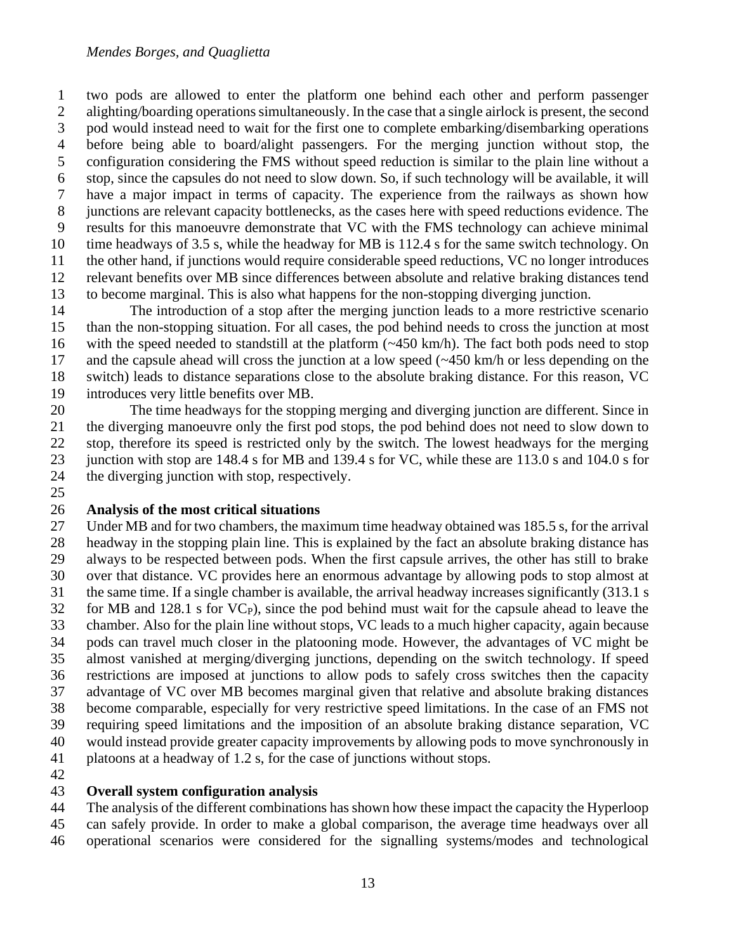two pods are allowed to enter the platform one behind each other and perform passenger alighting/boarding operations simultaneously. In the case that a single airlock is present, the second pod would instead need to wait for the first one to complete embarking/disembarking operations before being able to board/alight passengers. For the merging junction without stop, the configuration considering the FMS without speed reduction is similar to the plain line without a stop, since the capsules do not need to slow down. So, if such technology will be available, it will have a major impact in terms of capacity. The experience from the railways as shown how junctions are relevant capacity bottlenecks, as the cases here with speed reductions evidence. The results for this manoeuvre demonstrate that VC with the FMS technology can achieve minimal time headways of 3.5 s, while the headway for MB is 112.4 s for the same switch technology. On the other hand, if junctions would require considerable speed reductions, VC no longer introduces relevant benefits over MB since differences between absolute and relative braking distances tend to become marginal. This is also what happens for the non-stopping diverging junction.

 The introduction of a stop after the merging junction leads to a more restrictive scenario than the non-stopping situation. For all cases, the pod behind needs to cross the junction at most with the speed needed to standstill at the platform (~450 km/h). The fact both pods need to stop and the capsule ahead will cross the junction at a low speed (~450 km/h or less depending on the switch) leads to distance separations close to the absolute braking distance. For this reason, VC introduces very little benefits over MB.

 The time headways for the stopping merging and diverging junction are different. Since in the diverging manoeuvre only the first pod stops, the pod behind does not need to slow down to stop, therefore its speed is restricted only by the switch. The lowest headways for the merging junction with stop are 148.4 s for MB and 139.4 s for VC, while these are 113.0 s and 104.0 s for the diverging junction with stop, respectively.

#### **Analysis of the most critical situations**

 Under MB and for two chambers, the maximum time headway obtained was 185.5 s, for the arrival headway in the stopping plain line. This is explained by the fact an absolute braking distance has always to be respected between pods. When the first capsule arrives, the other has still to brake over that distance. VC provides here an enormous advantage by allowing pods to stop almost at the same time. If a single chamber is available, the arrival headway increases significantly (313.1 s for MB and 128.1 s for VC<sub>P</sub>), since the pod behind must wait for the capsule ahead to leave the chamber. Also for the plain line without stops, VC leads to a much higher capacity, again because pods can travel much closer in the platooning mode. However, the advantages of VC might be almost vanished at merging/diverging junctions, depending on the switch technology. If speed restrictions are imposed at junctions to allow pods to safely cross switches then the capacity advantage of VC over MB becomes marginal given that relative and absolute braking distances become comparable, especially for very restrictive speed limitations. In the case of an FMS not requiring speed limitations and the imposition of an absolute braking distance separation, VC would instead provide greater capacity improvements by allowing pods to move synchronously in platoons at a headway of 1.2 s, for the case of junctions without stops.

#### **Overall system configuration analysis**

The analysis of the different combinations has shown how these impact the capacity the Hyperloop

- can safely provide. In order to make a global comparison, the average time headways over all
- operational scenarios were considered for the signalling systems/modes and technological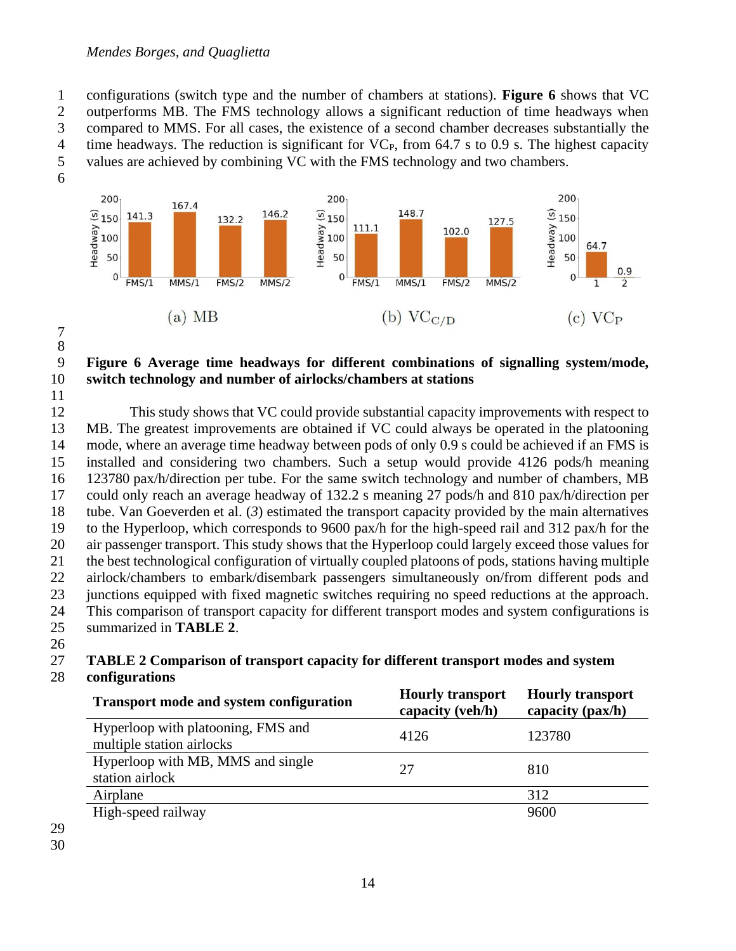#### *Mendes Borges, and Quaglietta*

 configurations (switch type and the number of chambers at stations). **[Figure 6](#page-14-0)** shows that VC outperforms MB. The FMS technology allows a significant reduction of time headways when compared to MMS. For all cases, the existence of a second chamber decreases substantially the 4 time headways. The reduction is significant for  $VC<sub>P</sub>$ , from 64.7 s to 0.9 s. The highest capacity values are achieved by combining VC with the FMS technology and two chambers.



 

#### <span id="page-14-0"></span> **Figure 6 Average time headways for different combinations of signalling system/mode, switch technology and number of airlocks/chambers at stations**

 This study shows that VC could provide substantial capacity improvements with respect to MB. The greatest improvements are obtained if VC could always be operated in the platooning mode, where an average time headway between pods of only 0.9 s could be achieved if an FMS is installed and considering two chambers. Such a setup would provide 4126 pods/h meaning 123780 pax/h/direction per tube. For the same switch technology and number of chambers, MB could only reach an average headway of 132.2 s meaning 27 pods/h and 810 pax/h/direction per tube. Van Goeverden et al. (*3*) estimated the transport capacity provided by the main alternatives to the Hyperloop, which corresponds to 9600 pax/h for the high-speed rail and 312 pax/h for the air passenger transport. This study shows that the Hyperloop could largely exceed those values for the best technological configuration of virtually coupled platoons of pods, stations having multiple airlock/chambers to embark/disembark passengers simultaneously on/from different pods and junctions equipped with fixed magnetic switches requiring no speed reductions at the approach. This comparison of transport capacity for different transport modes and system configurations is summarized in **[TABLE 2](#page-14-1)**.

#### <span id="page-14-1"></span>**TABLE 2 Comparison of transport capacity for different transport modes and system**

#### **configurations**

| <b>Transport mode and system configuration</b>                  | <b>Hourly transport</b><br>capacity (veh/h) | <b>Hourly transport</b><br>capacity (pax/h) |
|-----------------------------------------------------------------|---------------------------------------------|---------------------------------------------|
| Hyperloop with platooning, FMS and<br>multiple station airlocks | 4126                                        | 123780                                      |
| Hyperloop with MB, MMS and single<br>station airlock            | 27                                          | 810                                         |
| Airplane                                                        |                                             | 312                                         |
| High-speed railway                                              |                                             | 9600                                        |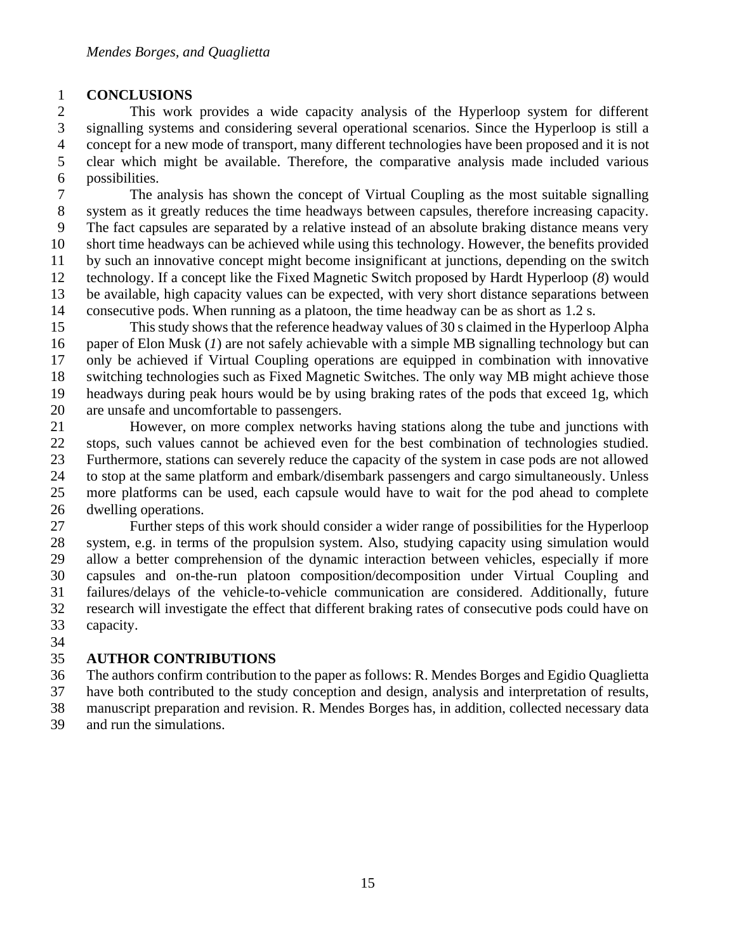#### **CONCLUSIONS**

 This work provides a wide capacity analysis of the Hyperloop system for different signalling systems and considering several operational scenarios. Since the Hyperloop is still a concept for a new mode of transport, many different technologies have been proposed and it is not clear which might be available. Therefore, the comparative analysis made included various possibilities.

 The analysis has shown the concept of Virtual Coupling as the most suitable signalling system as it greatly reduces the time headways between capsules, therefore increasing capacity. The fact capsules are separated by a relative instead of an absolute braking distance means very short time headways can be achieved while using this technology. However, the benefits provided by such an innovative concept might become insignificant at junctions, depending on the switch technology. If a concept like the Fixed Magnetic Switch proposed by Hardt Hyperloop (*8*) would be available, high capacity values can be expected, with very short distance separations between consecutive pods. When running as a platoon, the time headway can be as short as 1.2 s.

 This study shows that the reference headway values of 30 s claimed in the Hyperloop Alpha paper of Elon Musk (*1*) are not safely achievable with a simple MB signalling technology but can only be achieved if Virtual Coupling operations are equipped in combination with innovative switching technologies such as Fixed Magnetic Switches. The only way MB might achieve those headways during peak hours would be by using braking rates of the pods that exceed 1g, which are unsafe and uncomfortable to passengers.

 However, on more complex networks having stations along the tube and junctions with stops, such values cannot be achieved even for the best combination of technologies studied. Furthermore, stations can severely reduce the capacity of the system in case pods are not allowed to stop at the same platform and embark/disembark passengers and cargo simultaneously. Unless more platforms can be used, each capsule would have to wait for the pod ahead to complete dwelling operations.

 Further steps of this work should consider a wider range of possibilities for the Hyperloop system, e.g. in terms of the propulsion system. Also, studying capacity using simulation would allow a better comprehension of the dynamic interaction between vehicles, especially if more capsules and on-the-run platoon composition/decomposition under Virtual Coupling and failures/delays of the vehicle-to-vehicle communication are considered. Additionally, future research will investigate the effect that different braking rates of consecutive pods could have on capacity.

# **AUTHOR CONTRIBUTIONS**

 The authors confirm contribution to the paper as follows: R. Mendes Borges and Egidio Quaglietta have both contributed to the study conception and design, analysis and interpretation of results,

manuscript preparation and revision. R. Mendes Borges has, in addition, collected necessary data

and run the simulations.